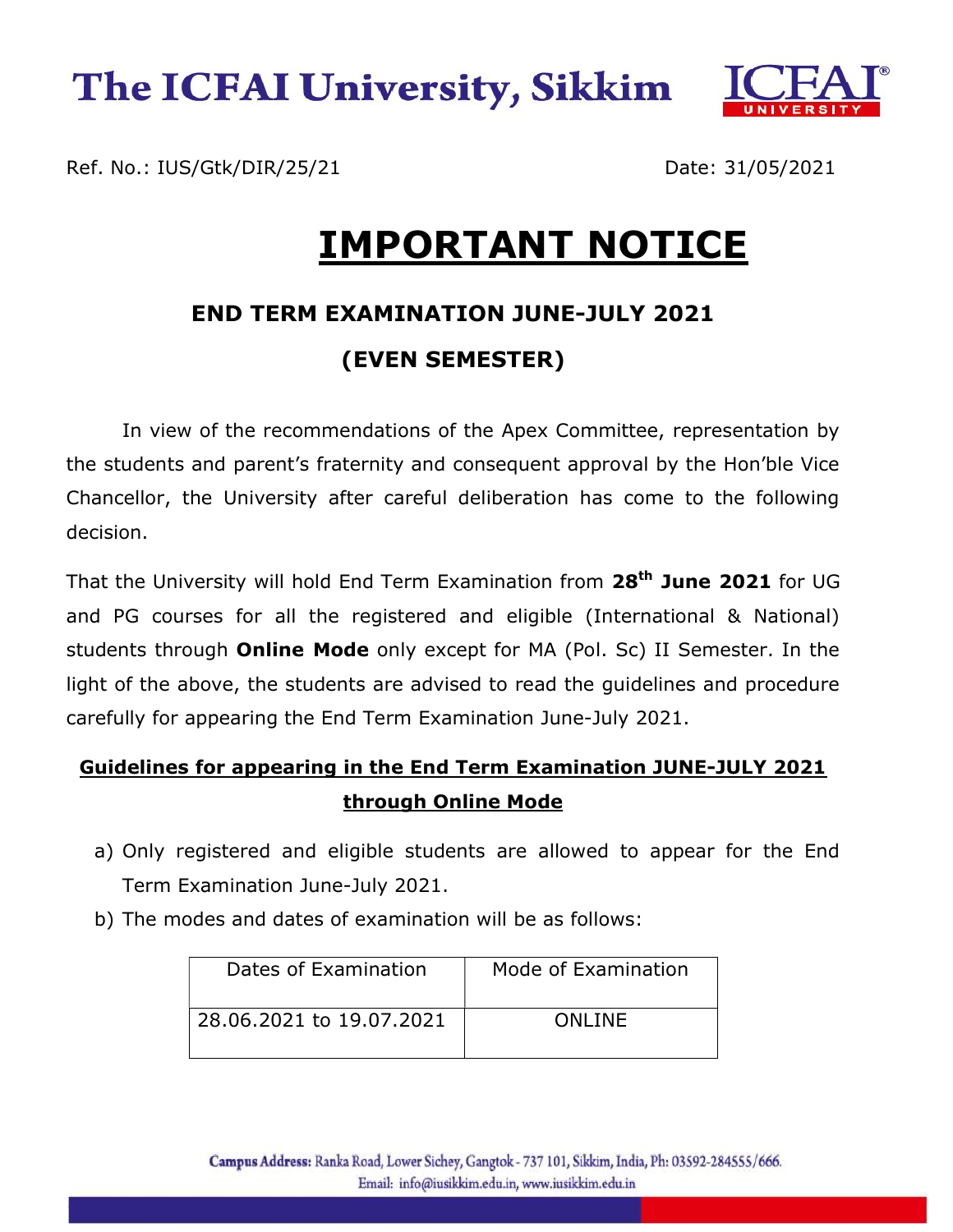

Ref. No.: IUS/Gtk/DIR/25/21 Date: 31/05/2021 Ĩ.

# IMPORTANT NOTICE

### END TERM EXAMINATION JUNE-JULY 2021 (EVEN SEMESTER)

In view of the recommendations of the Apex Committee, representation by the students and parent's fraternity and consequent approval by the Hon'ble Vice Chancellor, the University after careful deliberation has come to the following decision.

That the University will hold End Term Examination from 28<sup>th</sup> June 2021 for UG and PG courses for all the registered and eligible (International & National) students through **Online Mode** only except for MA (Pol. Sc) II Semester. In the light of the above, the students are advised to read the guidelines and procedure carefully for appearing the End Term Examination June-July 2021.

#### Guidelines for appearing in the End Term Examination JUNE-JULY 2021 through Online Mode

- a) Only registered and eligible students are allowed to appear for the End Term Examination June-July 2021.
- b) The modes and dates of examination will be as follows:

| Dates of Examination     | Mode of Examination |
|--------------------------|---------------------|
| 28.06.2021 to 19.07.2021 | ONI INF             |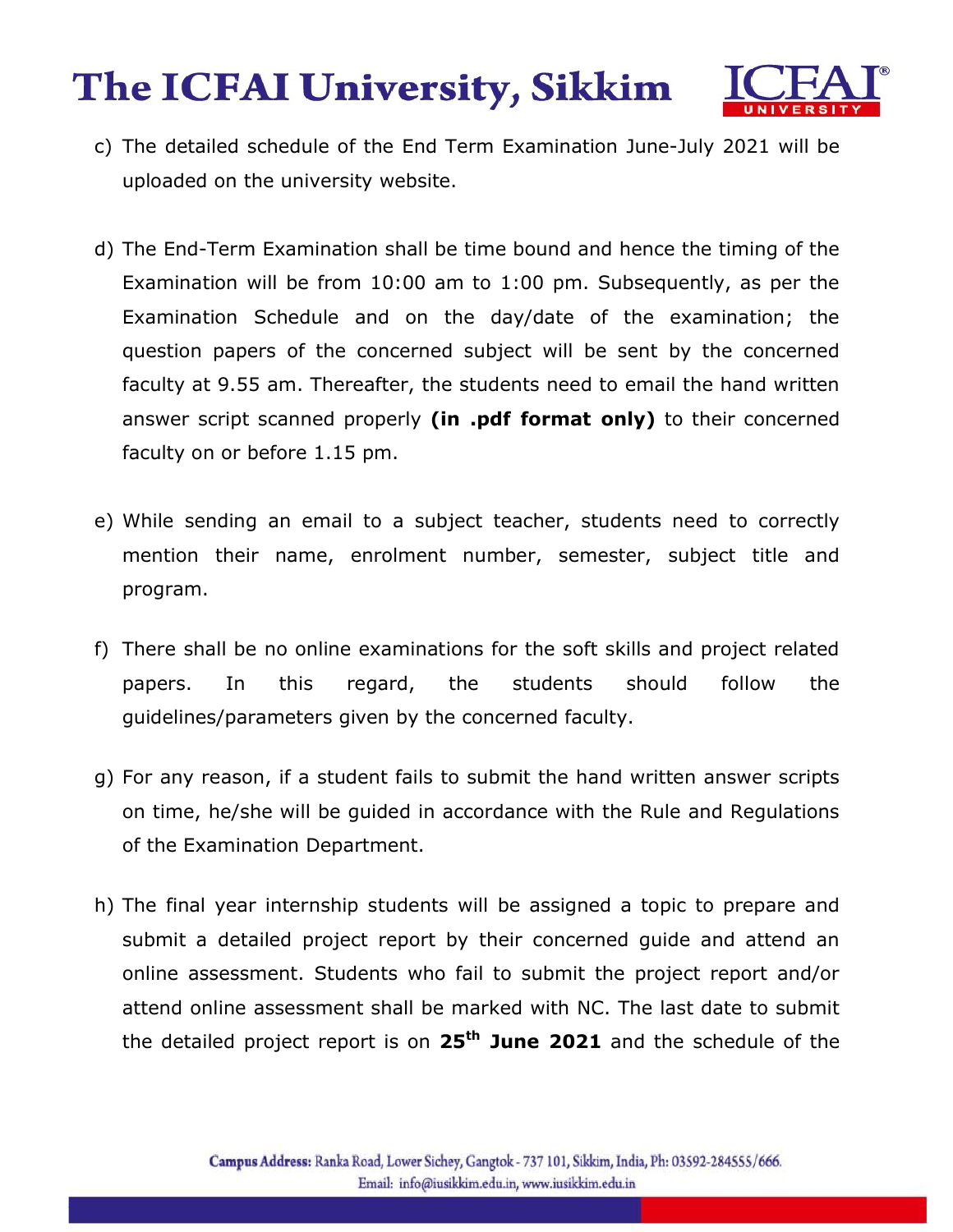

- c) The detailed schedule of the End Term Examination June-July 2021 will be uploaded on the university website.
- d) The End-Term Examination shall be time bound and hence the timing of the Examination will be from 10:00 am to 1:00 pm. Subsequently, as per the Examination Schedule and on the day/date of the examination; the question papers of the concerned subject will be sent by the concerned faculty at 9.55 am. Thereafter, the students need to email the hand written answer script scanned properly (in .pdf format only) to their concerned faculty on or before 1.15 pm.
- e) While sending an email to a subject teacher, students need to correctly mention their name, enrolment number, semester, subject title and program.
- f) There shall be no online examinations for the soft skills and project related papers. In this regard, the students should follow the guidelines/parameters given by the concerned faculty.
- g) For any reason, if a student fails to submit the hand written answer scripts on time, he/she will be guided in accordance with the Rule and Regulations of the Examination Department.
- h) The final year internship students will be assigned a topic to prepare and submit a detailed project report by their concerned guide and attend an online assessment. Students who fail to submit the project report and/or attend online assessment shall be marked with NC. The last date to submit the detailed project report is on  $25<sup>th</sup>$  June 2021 and the schedule of the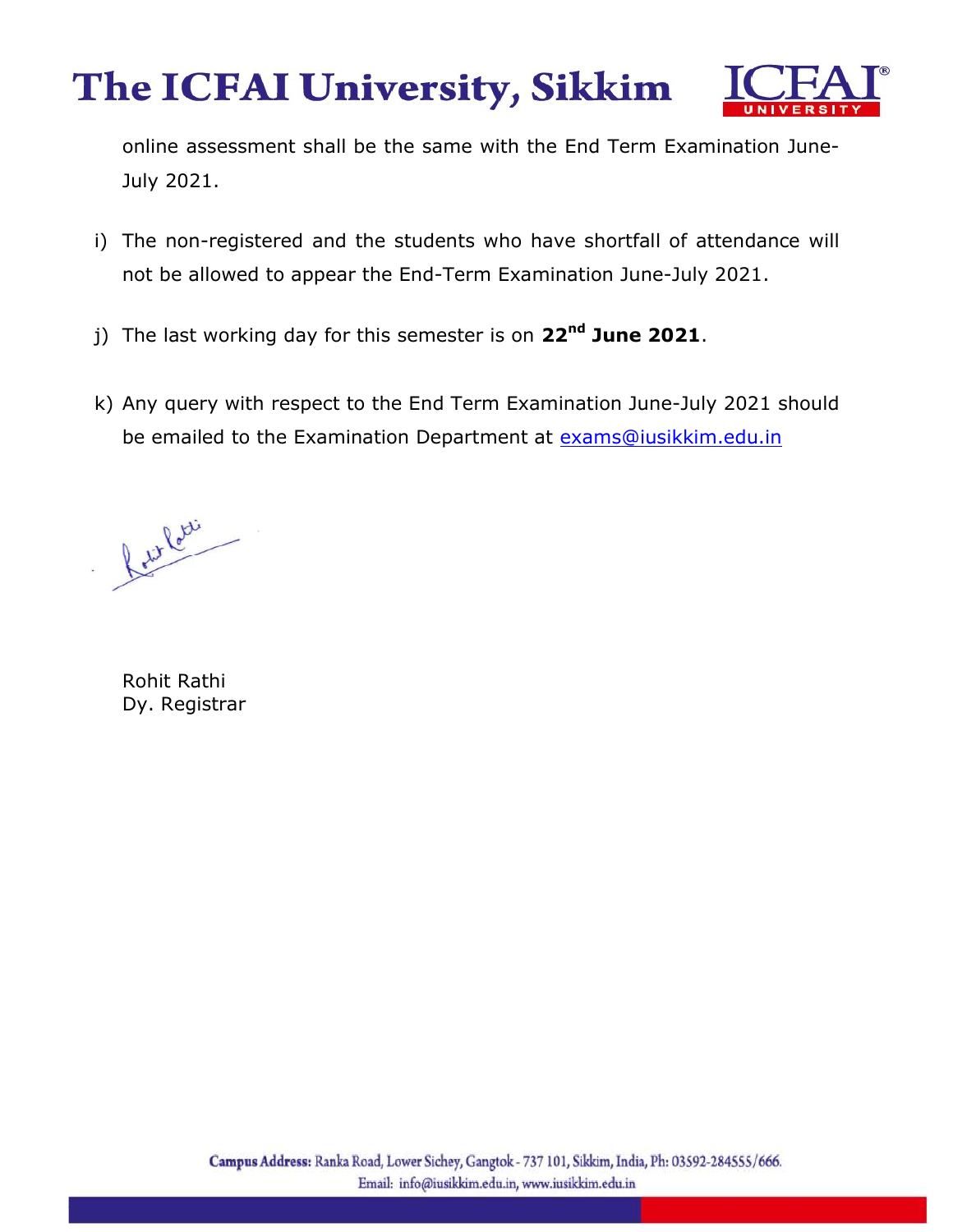

online assessment shall be the same with the End Term Examination June-July 2021.

- i) The non-registered and the students who have shortfall of attendance will not be allowed to appear the End-Term Examination June-July 2021.
- j) The last working day for this semester is on 22<sup>nd</sup> June 2021.
- k) Any query with respect to the End Term Examination June-July 2021 should be emailed to the Examination Department at exams@iusikkim.edu.in

Retire Rotti

Rohit Rathi Dy. Registrar